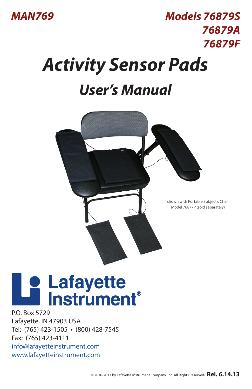

## *Model 76879S, 76879A, 76879F User's Manual Models 76879S Activity Sensor Pads 76879A 76879F*

## *User's Manual*



shown with Portable Subject's Chair Model 76877P (sold separately)

# **Le Lafayette<br>La Instrument**

P.O. Box 5729 Lafayette, IN 47903 USA Tel: (765) 423-1505 • (800) 428-7545 Fax: (765) 423-4111 info@lafayetteinstrument.com www.lafayetteinstrument.com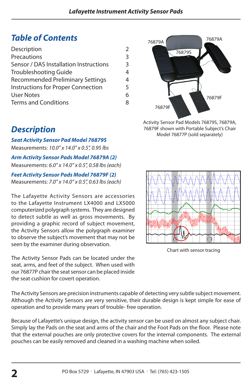## *Table of Contents*

| Description                             | $\mathcal{P}$ |
|-----------------------------------------|---------------|
| Precautions                             | 3             |
| Sensor / DAS Installation Instructions  | 3             |
| Troubleshooting Guide                   | 4             |
| <b>Recommended Preliminary Settings</b> | 4             |
| Instructions for Proper Connection      |               |
| User Notes                              | 6             |
| <b>Terms and Conditions</b>             | 8             |
|                                         |               |



Activity Sensor Pad Models 76879S, 76879A, 76879F shown with Portable Subject's Chair Model 76877P (sold separately)

# **ANALISTICIAN** ia mi

Chart with sensor tracing

## *Description*

*Seat Activity Sensor Pad Model 76879S* Measurements: *10.0" x 14.0" x 0.5", 0.95 lbs*

*Arm Activity Sensor Pads Model 76879A (2)* Measurements: *6.0" x 14.0" x 0.5", 0.58 lbs (each)*

*Feet Activity Sensor Pads Model 76879F (2)* Measurements: *7.0" x 14.0" x 0.5", 0.63 lbs (each)*

The Lafayette Activity Sensors are accessories to the Lafayette Instrument LX4000 and LX5000 computerized polygraph systems. They are designed to detect subtle as well as gross movements. By providing a graphic record of subject movement, the Activity Sensors allow the polygraph examiner to observe the subject's movement that may not be seen by the examiner during observation.

The Activity Sensor Pads can be located under the seat, arms, and feet of the subject. When used with our 76877P chair the seat sensor can be placed inside the seat cushion for covert operation.

The Activity Sensors are precision instruments capable of detecting very subtle subject movement. Although the Activity Sensors are very sensitive, their durable design is kept simple for ease of operation and to provide many years of trouble- free operation.

Because of Lafayette's unique design, the activity sensor can be used on almost any subject chair. Simply lay the Pads on the seat and arms of the chair and the Foot Pads on the floor. Please note that the external pouches are only protective covers for the internal components. The external pouches can be easily removed and cleaned in a washing machine when soiled.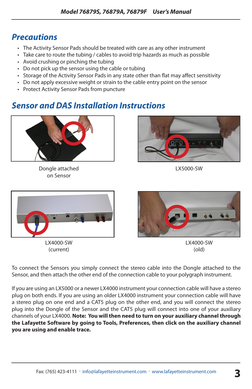### *Precautions*

- The Activity Sensor Pads should be treated with care as any other instrument
- Take care to route the tubing / cables to avoid trip hazards as much as possible
- Avoid crushing or pinching the tubing
- Do not pick up the sensor using the cable or tubing
- Storage of the Activity Sensor Pads in any state other than flat may affect sensitivity
- Do not apply excessive weight or strain to the cable entry point on the sensor
- Protect Activity Sensor Pads from puncture

### *Sensor and DAS Installation Instructions*



Dongle attached on Sensor



LX5000-SW



LX4000-SW (current)



LX4000-SW (old)

To connect the Sensors you simply connect the stereo cable into the Dongle attached to the Sensor, and then attach the other end of the connection cable to your polygraph instrument.

If you are using an LX5000 or a newer LX4000 instrument your connection cable will have a stereo plug on both ends. If you are using an older LX4000 instrument your connection cable will have a stereo plug on one end and a CAT5 plug on the other end, and you will connect the stereo plug into the Dongle of the Sensor and the CAT5 plug will connect into one of your auxiliary channels of your LX4000. **Note: You will then need to turn on your auxiliary channel through the Lafayette Software by going to Tools, Preferences, then click on the auxiliary channel you are using and enable trace.**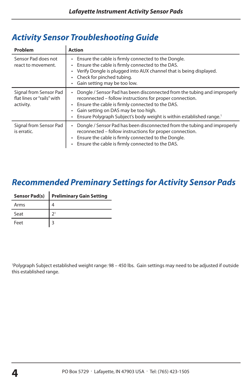| Problem                                                           | <b>Action</b>                                                                                                                                                                                                                                                                                                             |
|-------------------------------------------------------------------|---------------------------------------------------------------------------------------------------------------------------------------------------------------------------------------------------------------------------------------------------------------------------------------------------------------------------|
| Sensor Pad does not<br>react to movement.                         | Ensure the cable is firmly connected to the Dongle.<br>$\bullet$<br>Ensure the cable is firmly connected to the DAS.<br>٠<br>Verify Dongle is plugged into AUX channel that is being displayed.<br>Check for pinched tubing.<br>Gain setting may be too low.                                                              |
| Signal from Sensor Pad<br>flat lines or "rails" with<br>activity. | Dongle / Sensor Pad has been disconnected from the tubing and improperly<br>reconnected – follow instructions for proper connection.<br>Ensure the cable is firmly connected to the DAS.<br>Gain setting on DAS may be too high.<br>٠<br>Ensure Polygraph Subject's body weight is within established range. <sup>1</sup> |
| Signal from Sensor Pad<br>is erratic.                             | Dongle / Sensor Pad has been disconnected from the tubing and improperly<br>٠<br>reconnected – follow instructions for proper connection.<br>Ensure the cable is firmly connected to the Dongle.<br>$\bullet$<br>Ensure the cable is firmly connected to the DAS.                                                         |

## *Activity Sensor Troubleshooting Guide*

## *Recommended Preminary Settings for Activity Sensor Pads*

| <b>Sensor Pad(s)</b> | <b>Preliminary Gain Setting</b> |
|----------------------|---------------------------------|
| Arms                 |                                 |
| Seat                 |                                 |
| Feet                 |                                 |

1 Polygraph Subject established weight range: 98 – 450 lbs. Gain settings may need to be adjusted if outside this established range.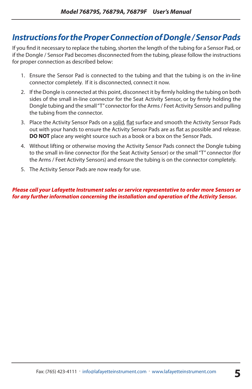## *Instructions for the Proper Connection of Dongle / Sensor Pads*

If you find it necessary to replace the tubing, shorten the length of the tubing for a Sensor Pad, or if the Dongle / Sensor Pad becomes disconnected from the tubing, please follow the instructions for proper connection as described below:

- 1. Ensure the Sensor Pad is connected to the tubing and that the tubing is on the in-line connector completely. If it is disconnected, connect it now.
- 2. If the Dongle is connected at this point, disconnect it by firmly holding the tubing on both sides of the small in-line connector for the Seat Activity Sensor, or by firmly holding the Dongle tubing and the small "T" connector for the Arms / Feet Activity Sensors and pulling the tubing from the connector.
- 3. Place the Activity Sensor Pads on a solid, flat surface and smooth the Activity Sensor Pads out with your hands to ensure the Activity Sensor Pads are as flat as possible and release. **DO NOT** place any weight source such as a book or a box on the Sensor Pads.
- 4. Without lifting or otherwise moving the Activity Sensor Pads connect the Dongle tubing to the small in-line connector (for the Seat Activity Sensor) or the small "T" connector (for the Arms / Feet Activity Sensors) and ensure the tubing is on the connector completely.
- 5. The Activity Sensor Pads are now ready for use.

*Please call your Lafayette Instrument sales or service representative to order more Sensors or for any further information concerning the installation and operation of the Activity Sensor.*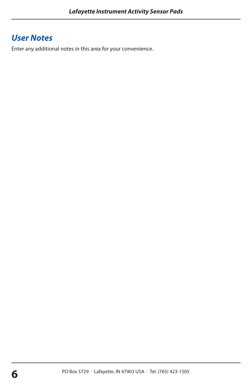## *User Notes*

Enter any additional notes in this area for your convenience.